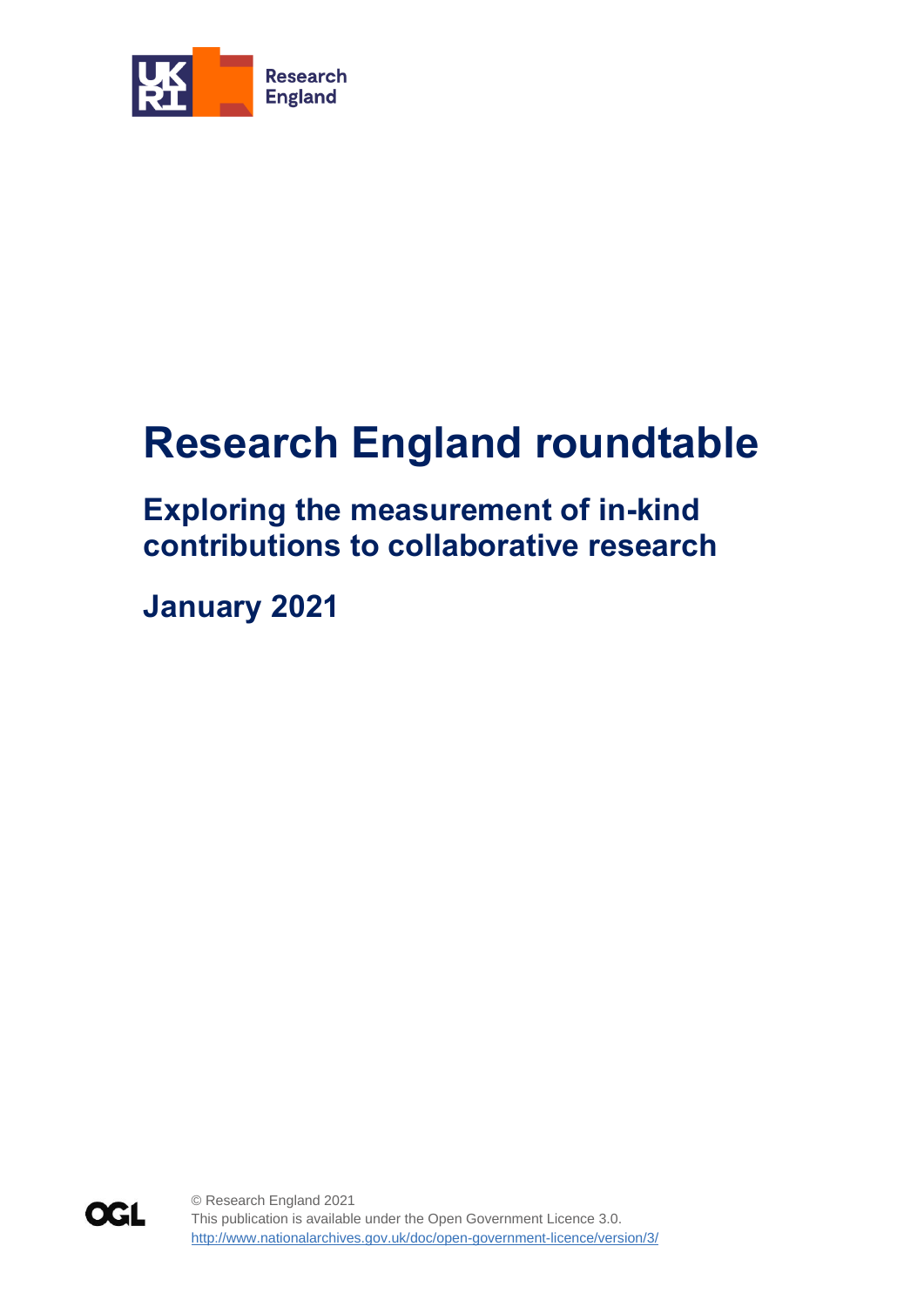

# **Research England roundtable**

## **Exploring the measurement of in-kind contributions to collaborative research**

**January 2021**

**OGL** 

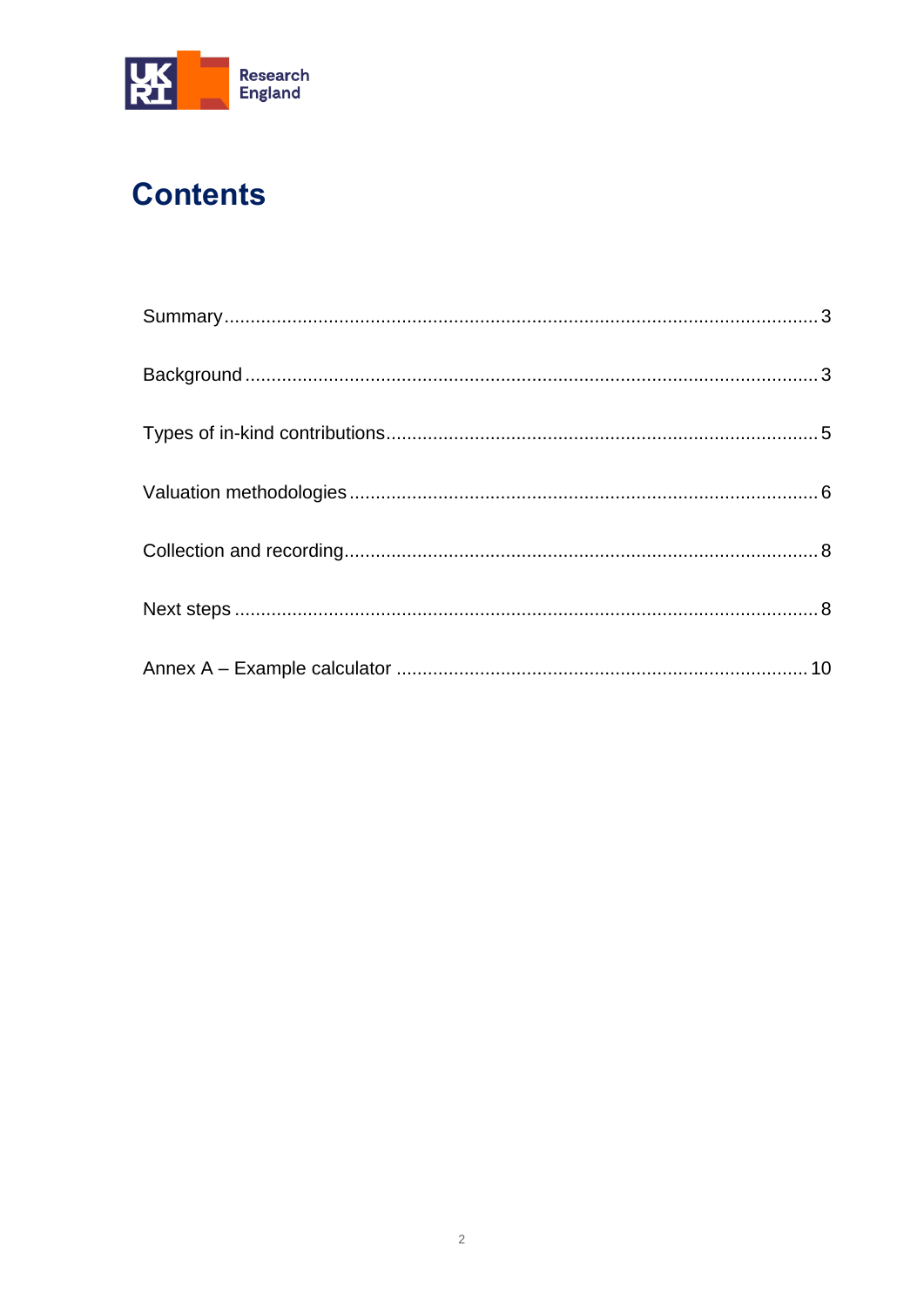

# **Contents**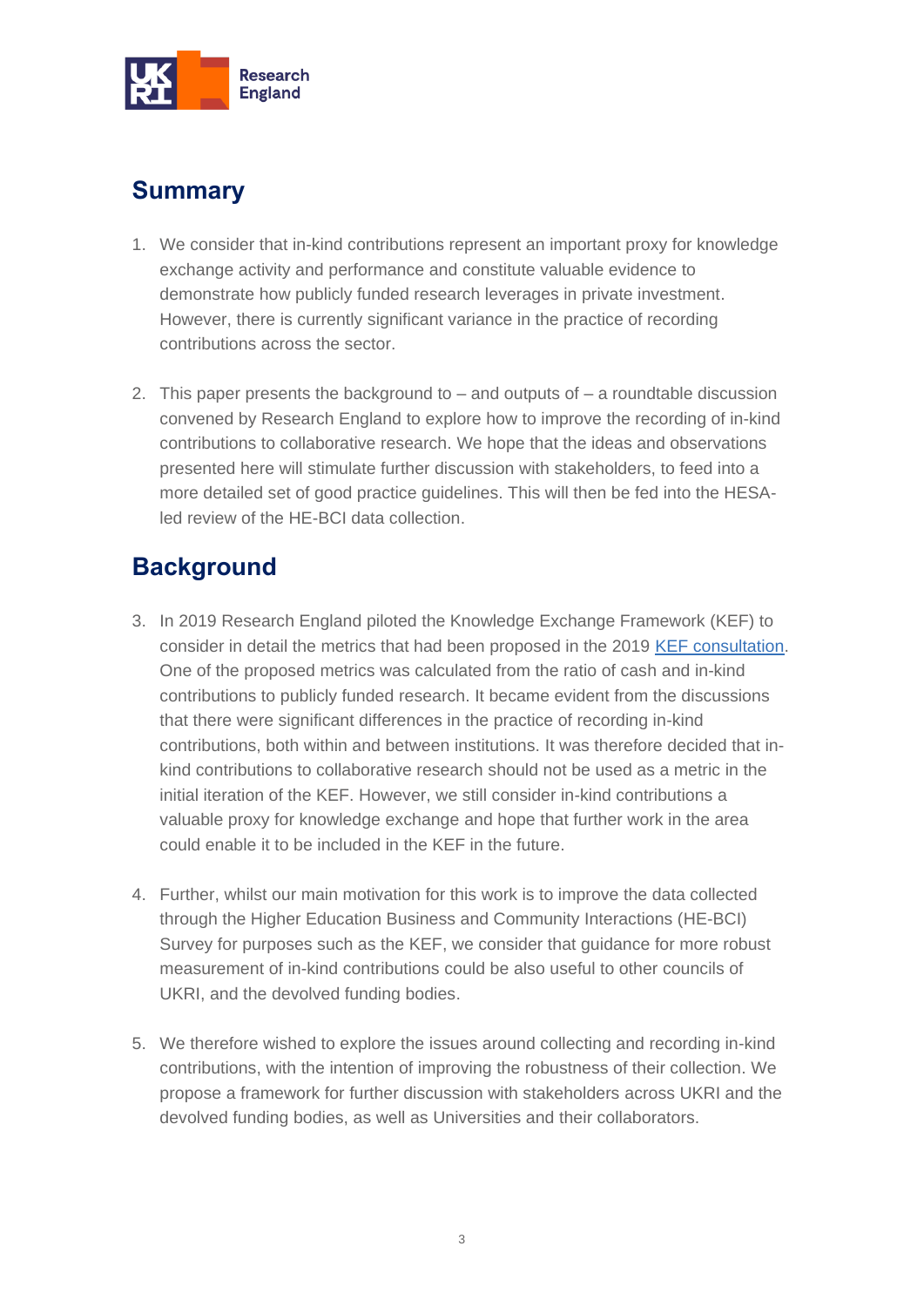

### <span id="page-2-0"></span>**Summary**

- 1. We consider that in-kind contributions represent an important proxy for knowledge exchange activity and performance and constitute valuable evidence to demonstrate how publicly funded research leverages in private investment. However, there is currently significant variance in the practice of recording contributions across the sector.
- 2. This paper presents the background to  $-$  and outputs of  $-$  a roundtable discussion convened by Research England to explore how to improve the recording of in-kind contributions to collaborative research. We hope that the ideas and observations presented here will stimulate further discussion with stakeholders, to feed into a more detailed set of good practice guidelines. This will then be fed into the HESAled review of the HE-BCI data collection.

### <span id="page-2-1"></span>**Background**

- 3. In 2019 Research England piloted the Knowledge Exchange Framework (KEF) to consider in detail the metrics that had been proposed in the 2019 [KEF consultation.](https://re.ukri.org/documents/2019/kef-consultation-and-pilot-outcomes-publication-pdf/) One of the proposed metrics was calculated from the ratio of cash and in-kind contributions to publicly funded research. It became evident from the discussions that there were significant differences in the practice of recording in-kind contributions, both within and between institutions. It was therefore decided that inkind contributions to collaborative research should not be used as a metric in the initial iteration of the KEF. However, we still consider in-kind contributions a valuable proxy for knowledge exchange and hope that further work in the area could enable it to be included in the KEF in the future.
- 4. Further, whilst our main motivation for this work is to improve the data collected through the Higher Education Business and Community Interactions (HE-BCI) Survey for purposes such as the KEF, we consider that guidance for more robust measurement of in-kind contributions could be also useful to other councils of UKRI, and the devolved funding bodies.
- 5. We therefore wished to explore the issues around collecting and recording in-kind contributions, with the intention of improving the robustness of their collection. We propose a framework for further discussion with stakeholders across UKRI and the devolved funding bodies, as well as Universities and their collaborators.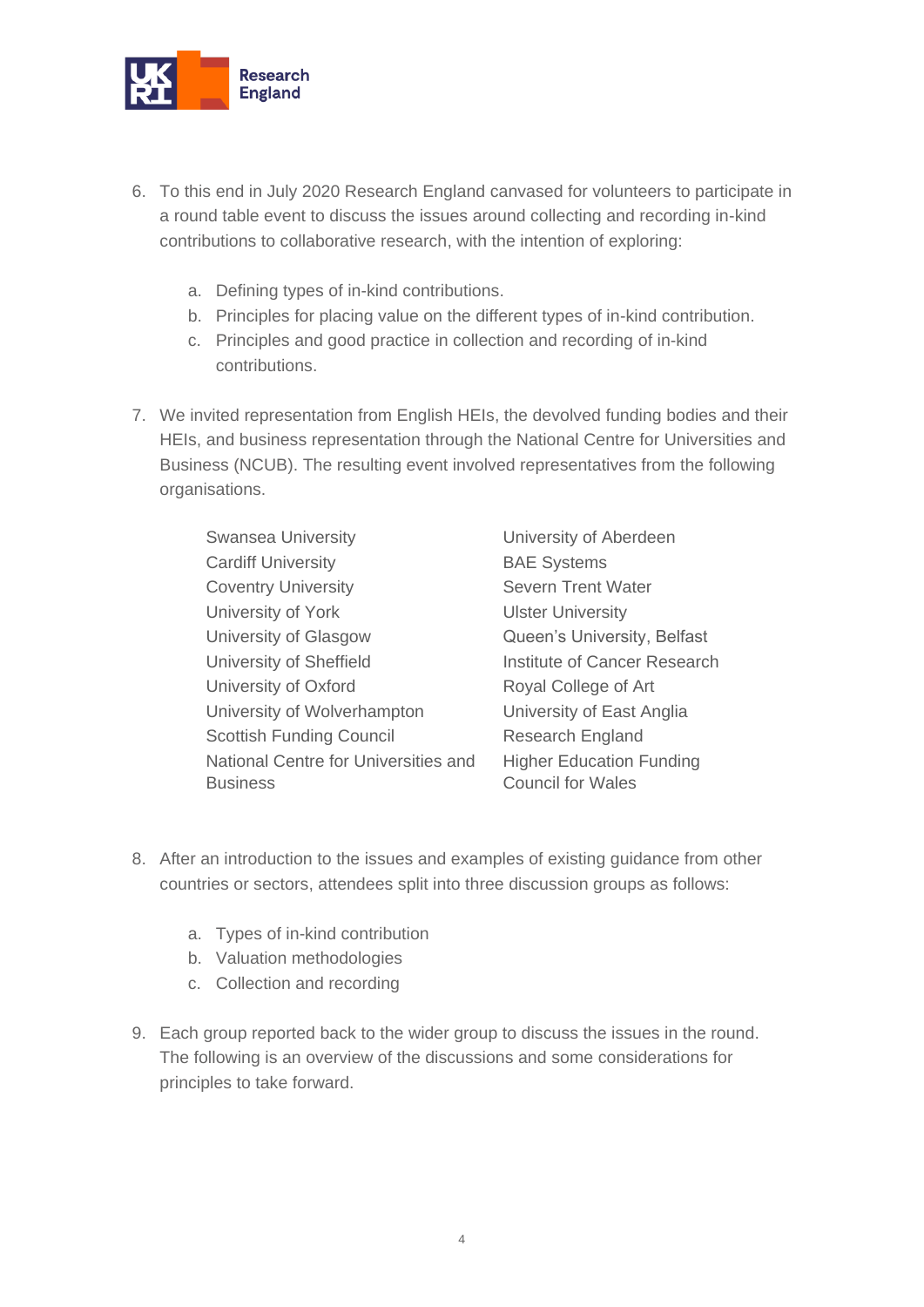

- 6. To this end in July 2020 Research England canvased for volunteers to participate in a round table event to discuss the issues around collecting and recording in-kind contributions to collaborative research, with the intention of exploring:
	- a. Defining types of in-kind contributions.
	- b. Principles for placing value on the different types of in-kind contribution.
	- c. Principles and good practice in collection and recording of in-kind contributions.
- 7. We invited representation from English HEIs, the devolved funding bodies and their HEIs, and business representation through the National Centre for Universities and Business (NCUB). The resulting event involved representatives from the following organisations.

Research

| <b>Swansea University</b>            | University of Aberdeen          |
|--------------------------------------|---------------------------------|
| <b>Cardiff University</b>            | <b>BAE Systems</b>              |
| <b>Coventry University</b>           | <b>Severn Trent Water</b>       |
| University of York                   | <b>Ulster University</b>        |
| University of Glasgow                | Queen's University, Belfast     |
| University of Sheffield              | Institute of Cancer Researc     |
| University of Oxford                 | Royal College of Art            |
| University of Wolverhampton          | University of East Anglia       |
| <b>Scottish Funding Council</b>      | <b>Research England</b>         |
| National Centre for Universities and | <b>Higher Education Funding</b> |
| <b>Business</b>                      | <b>Council for Wales</b>        |

- 8. After an introduction to the issues and examples of existing guidance from other countries or sectors, attendees split into three discussion groups as follows:
	- a. Types of in-kind contribution
	- b. Valuation methodologies
	- c. Collection and recording
- 9. Each group reported back to the wider group to discuss the issues in the round. The following is an overview of the discussions and some considerations for principles to take forward.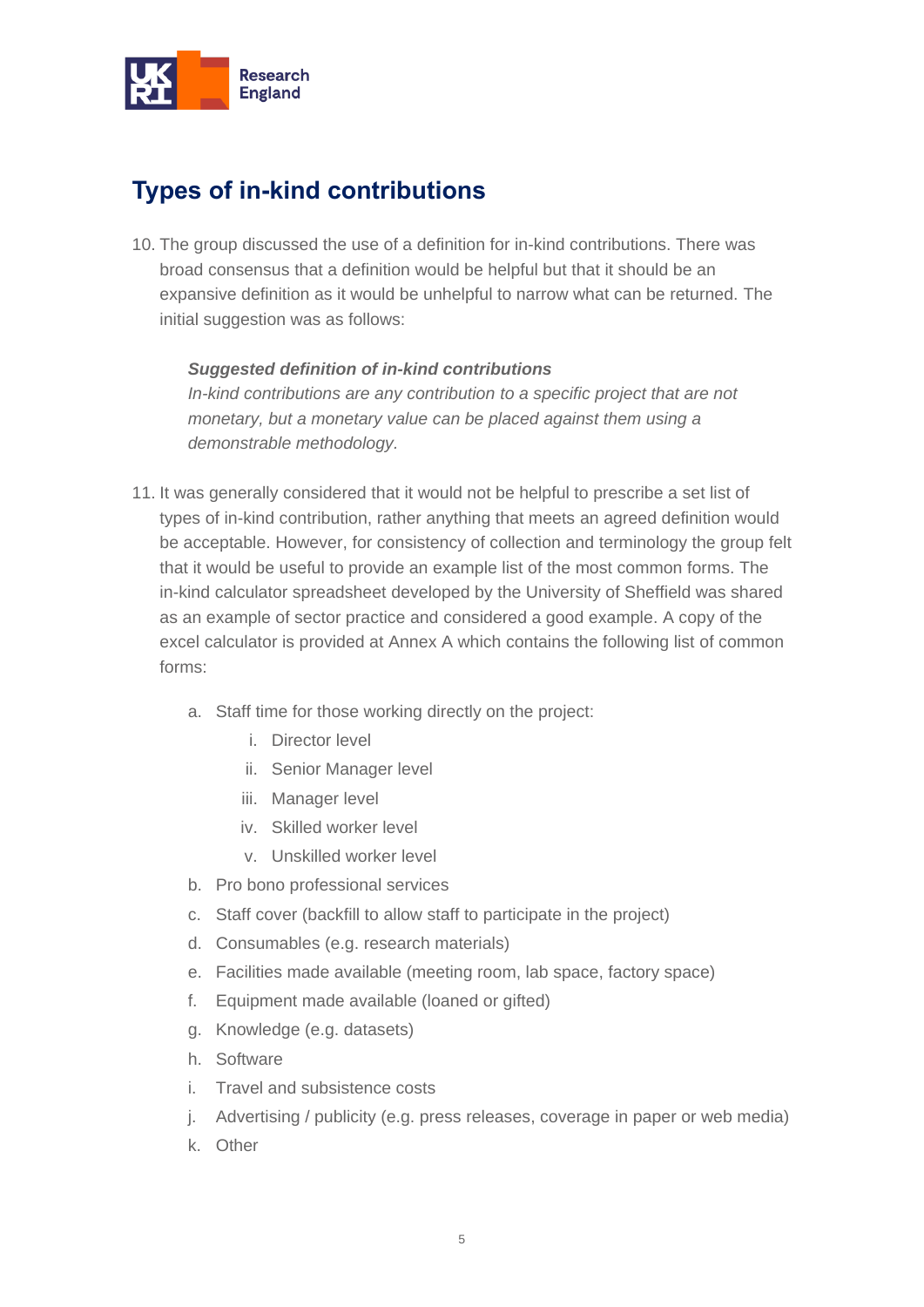

### <span id="page-4-0"></span>**Types of in-kind contributions**

10. The group discussed the use of a definition for in-kind contributions. There was broad consensus that a definition would be helpful but that it should be an expansive definition as it would be unhelpful to narrow what can be returned. The initial suggestion was as follows:

#### *Suggested definition of in-kind contributions*

*In-kind contributions are any contribution to a specific project that are not monetary, but a monetary value can be placed against them using a demonstrable methodology.*

- 11. It was generally considered that it would not be helpful to prescribe a set list of types of in-kind contribution, rather anything that meets an agreed definition would be acceptable. However, for consistency of collection and terminology the group felt that it would be useful to provide an example list of the most common forms. The in-kind calculator spreadsheet developed by the University of Sheffield was shared as an example of sector practice and considered a good example. A copy of the excel calculator is provided at Annex A which contains the following list of common forms:
	- a. Staff time for those working directly on the project:
		- i. Director level
		- ii. Senior Manager level
		- iii. Manager level
		- iv. Skilled worker level
		- v. Unskilled worker level
	- b. Pro bono professional services
	- c. Staff cover (backfill to allow staff to participate in the project)
	- d. Consumables (e.g. research materials)
	- e. Facilities made available (meeting room, lab space, factory space)
	- f. Equipment made available (loaned or gifted)
	- g. Knowledge (e.g. datasets)
	- h. Software
	- i. Travel and subsistence costs
	- j. Advertising / publicity (e.g. press releases, coverage in paper or web media)
	- k. Other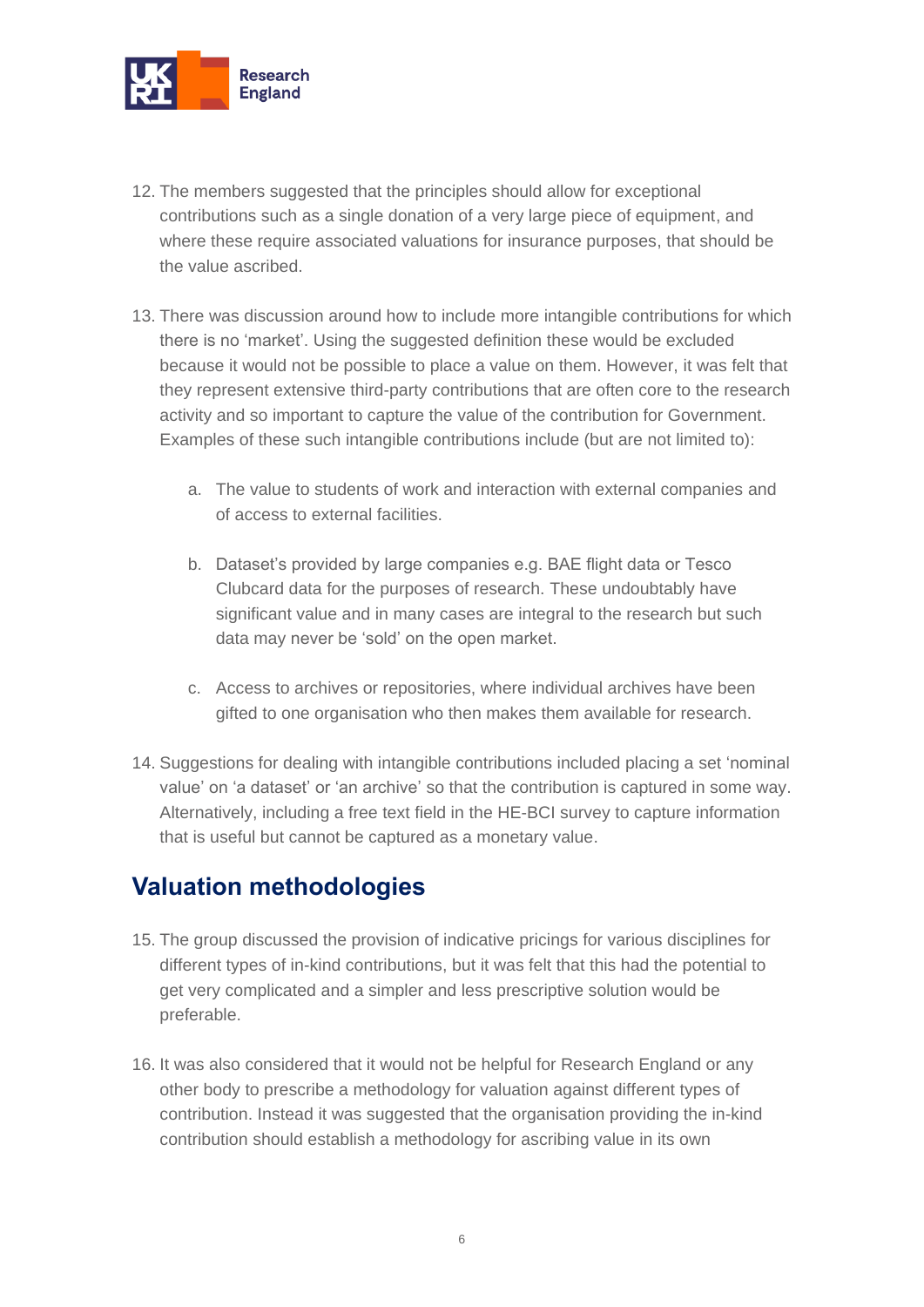

- 12. The members suggested that the principles should allow for exceptional contributions such as a single donation of a very large piece of equipment, and where these require associated valuations for insurance purposes, that should be the value ascribed.
- 13. There was discussion around how to include more intangible contributions for which there is no 'market'. Using the suggested definition these would be excluded because it would not be possible to place a value on them. However, it was felt that they represent extensive third-party contributions that are often core to the research activity and so important to capture the value of the contribution for Government. Examples of these such intangible contributions include (but are not limited to):
	- a. The value to students of work and interaction with external companies and of access to external facilities.
	- b. Dataset's provided by large companies e.g. BAE flight data or Tesco Clubcard data for the purposes of research. These undoubtably have significant value and in many cases are integral to the research but such data may never be 'sold' on the open market.
	- c. Access to archives or repositories, where individual archives have been gifted to one organisation who then makes them available for research.
- 14. Suggestions for dealing with intangible contributions included placing a set 'nominal value' on 'a dataset' or 'an archive' so that the contribution is captured in some way. Alternatively, including a free text field in the HE-BCI survey to capture information that is useful but cannot be captured as a monetary value.

#### <span id="page-5-0"></span>**Valuation methodologies**

- 15. The group discussed the provision of indicative pricings for various disciplines for different types of in-kind contributions, but it was felt that this had the potential to get very complicated and a simpler and less prescriptive solution would be preferable.
- 16. It was also considered that it would not be helpful for Research England or any other body to prescribe a methodology for valuation against different types of contribution. Instead it was suggested that the organisation providing the in-kind contribution should establish a methodology for ascribing value in its own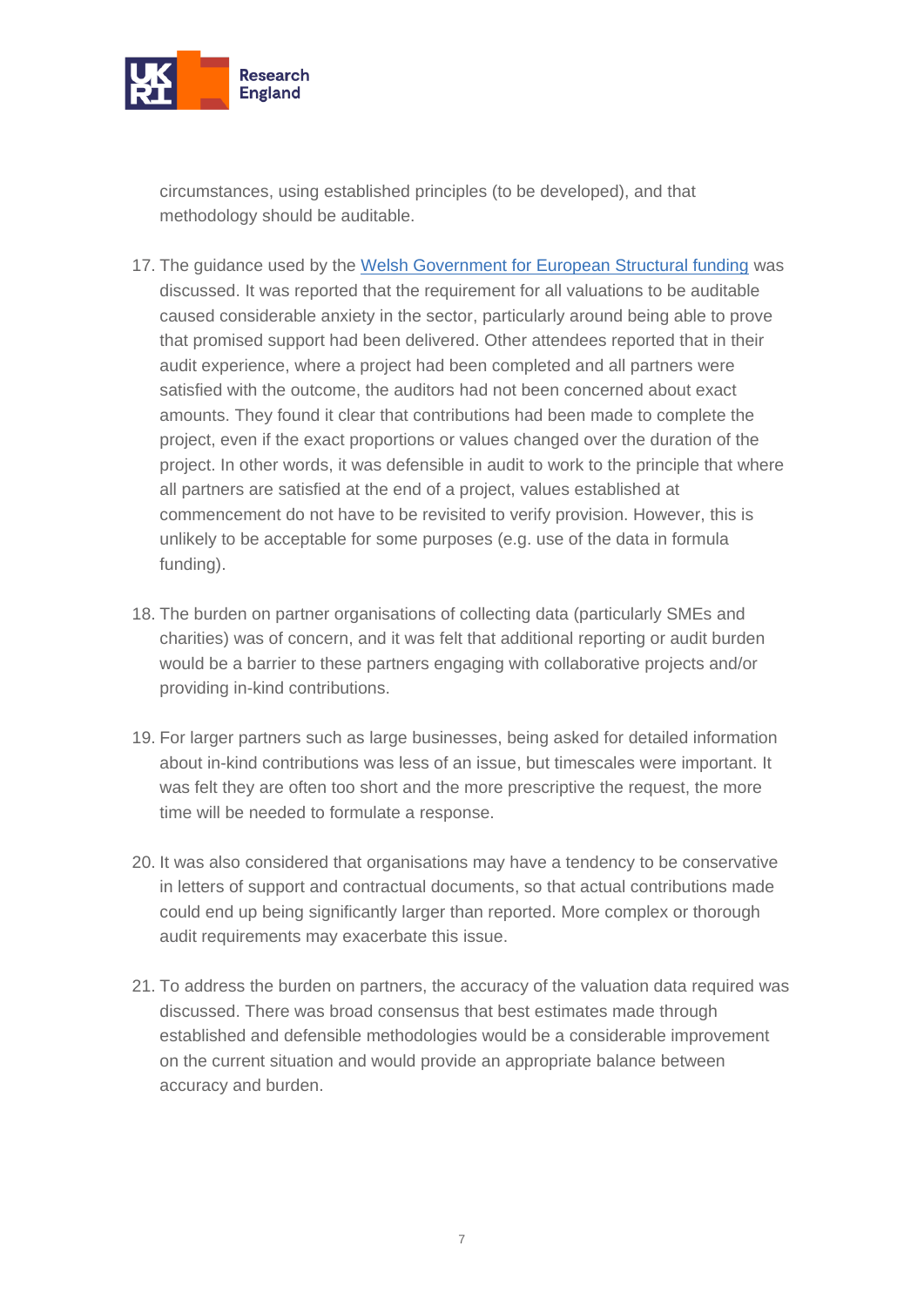

circumstances, using established principles (to be developed), and that methodology should be auditable.

- 17. The guidance used by the [Welsh Government for European Structural funding](https://gov.wales/sites/default/files/publications/2019-08/eu-funds-2014-2020-eligibility-rules-and-conditions-guidance_0.pdf) was discussed. It was reported that the requirement for all valuations to be auditable caused considerable anxiety in the sector, particularly around being able to prove that promised support had been delivered. Other attendees reported that in their audit experience, where a project had been completed and all partners were satisfied with the outcome, the auditors had not been concerned about exact amounts. They found it clear that contributions had been made to complete the project, even if the exact proportions or values changed over the duration of the project. In other words, it was defensible in audit to work to the principle that where all partners are satisfied at the end of a project, values established at commencement do not have to be revisited to verify provision. However, this is unlikely to be acceptable for some purposes (e.g. use of the data in formula funding).
- 18. The burden on partner organisations of collecting data (particularly SMEs and charities) was of concern, and it was felt that additional reporting or audit burden would be a barrier to these partners engaging with collaborative projects and/or providing in-kind contributions.
- 19. For larger partners such as large businesses, being asked for detailed information about in-kind contributions was less of an issue, but timescales were important. It was felt they are often too short and the more prescriptive the request, the more time will be needed to formulate a response.
- 20. It was also considered that organisations may have a tendency to be conservative in letters of support and contractual documents, so that actual contributions made could end up being significantly larger than reported. More complex or thorough audit requirements may exacerbate this issue.
- 21. To address the burden on partners, the accuracy of the valuation data required was discussed. There was broad consensus that best estimates made through established and defensible methodologies would be a considerable improvement on the current situation and would provide an appropriate balance between accuracy and burden.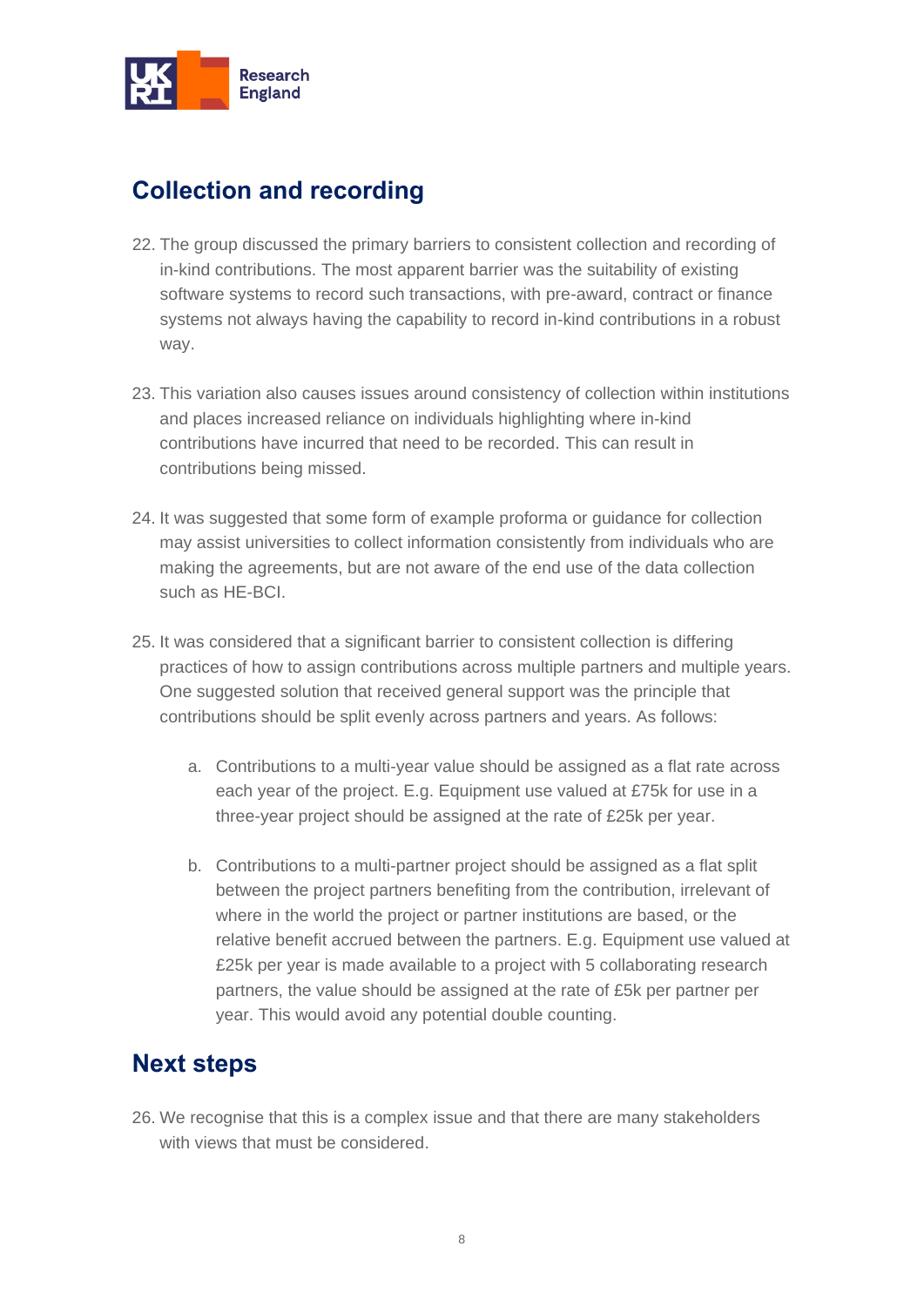

### <span id="page-7-0"></span>**Collection and recording**

- 22. The group discussed the primary barriers to consistent collection and recording of in-kind contributions. The most apparent barrier was the suitability of existing software systems to record such transactions, with pre-award, contract or finance systems not always having the capability to record in-kind contributions in a robust way.
- 23. This variation also causes issues around consistency of collection within institutions and places increased reliance on individuals highlighting where in-kind contributions have incurred that need to be recorded. This can result in contributions being missed.
- 24. It was suggested that some form of example proforma or guidance for collection may assist universities to collect information consistently from individuals who are making the agreements, but are not aware of the end use of the data collection such as HE-BCI.
- 25. It was considered that a significant barrier to consistent collection is differing practices of how to assign contributions across multiple partners and multiple years. One suggested solution that received general support was the principle that contributions should be split evenly across partners and years. As follows:
	- a. Contributions to a multi-year value should be assigned as a flat rate across each year of the project. E.g. Equipment use valued at £75k for use in a three-year project should be assigned at the rate of £25k per year.
	- b. Contributions to a multi-partner project should be assigned as a flat split between the project partners benefiting from the contribution, irrelevant of where in the world the project or partner institutions are based, or the relative benefit accrued between the partners. E.g. Equipment use valued at £25k per year is made available to a project with 5 collaborating research partners, the value should be assigned at the rate of £5k per partner per year. This would avoid any potential double counting.

#### <span id="page-7-1"></span>**Next steps**

26. We recognise that this is a complex issue and that there are many stakeholders with views that must be considered.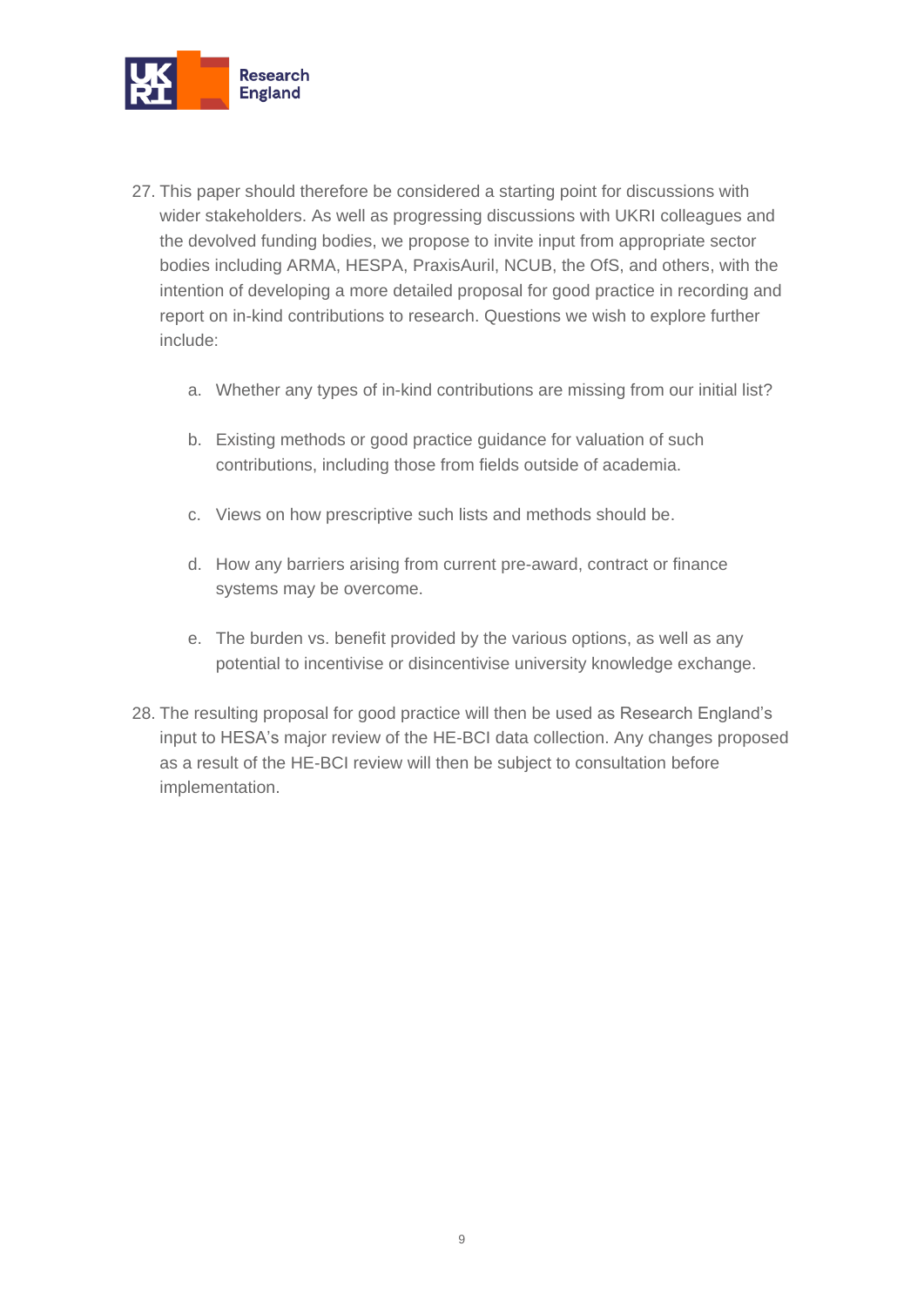

- 27. This paper should therefore be considered a starting point for discussions with wider stakeholders. As well as progressing discussions with UKRI colleagues and the devolved funding bodies, we propose to invite input from appropriate sector bodies including ARMA, HESPA, PraxisAuril, NCUB, the OfS, and others, with the intention of developing a more detailed proposal for good practice in recording and report on in-kind contributions to research. Questions we wish to explore further include:
	- a. Whether any types of in-kind contributions are missing from our initial list?
	- b. Existing methods or good practice guidance for valuation of such contributions, including those from fields outside of academia.
	- c. Views on how prescriptive such lists and methods should be.
	- d. How any barriers arising from current pre-award, contract or finance systems may be overcome.
	- e. The burden vs. benefit provided by the various options, as well as any potential to incentivise or disincentivise university knowledge exchange.
- 28. The resulting proposal for good practice will then be used as Research England's input to HESA's major review of the HE-BCI data collection. Any changes proposed as a result of the HE-BCI review will then be subject to consultation before implementation.